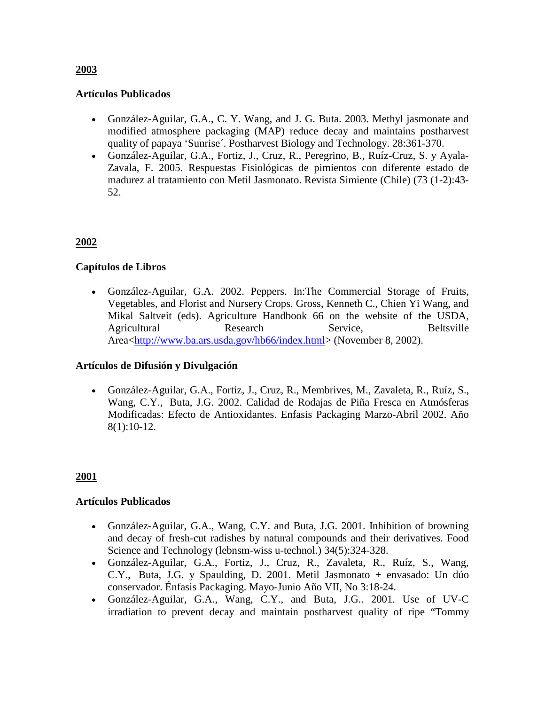### **Artículos Publicados**

- González-Aguilar, G.A., C. Y. Wang, and J. G. Buta. 2003. Methyl jasmonate and modified atmosphere packaging (MAP) reduce decay and maintains postharvest quality of papaya 'Sunrise´. Postharvest Biology and Technology. 28:361-370.
- González-Aguilar, G.A., Fortiz, J., Cruz, R., Peregrino, B., Ruíz-Cruz, S. y Ayala-Zavala, F. 2005. Respuestas Fisiológicas de pimientos con diferente estado de madurez al tratamiento con Metil Jasmonato. Revista Simiente (Chile) (73 (1-2):43- 52.

# **2002**

### **Capítulos de Libros**

• González-Aguilar, G.A. 2002. Peppers. In:The Commercial Storage of Fruits, Vegetables, and Florist and Nursery Crops. Gross, Kenneth C., Chien Yi Wang, and Mikal Saltveit (eds). Agriculture Handbook 66 on the website of the USDA, Agricultural Research Service, Beltsville Area[<http://www.ba.ars.usda.gov/hb66/index.html>](http://www.ba.ars.usda.gov/hb66/index.html) (November 8, 2002).

#### **Artículos de Difusión y Divulgación**

• González-Aguilar, G.A., Fortiz, J., Cruz, R., Membrives, M., Zavaleta, R., Ruíz, S., Wang, C.Y., Buta, J.G. 2002. Calidad de Rodajas de Piña Fresca en Atmósferas Modificadas: Efecto de Antioxidantes. Enfasis Packaging Marzo-Abril 2002. Año 8(1):10-12.

# **2001**

#### **Artículos Publicados**

- González-Aguilar, G.A., Wang, C.Y. and Buta, J.G. 2001. Inhibition of browning and decay of fresh-cut radishes by natural compounds and their derivatives. Food Science and Technology (lebnsm-wiss u-technol.) 34(5):324-328.
- González-Aguilar, G.A., Fortiz, J., Cruz, R., Zavaleta, R., Ruíz, S., Wang, C.Y., Buta, J.G. y Spaulding, D. 2001. Metil Jasmonato + envasado: Un dúo conservador. Énfasis Packaging. Mayo-Junio Año VII, No 3:18-24.
- González-Aguilar, G.A., Wang, C.Y., and Buta, J.G.. 2001. Use of UV-C irradiation to prevent decay and maintain postharvest quality of ripe "Tommy

### **2003**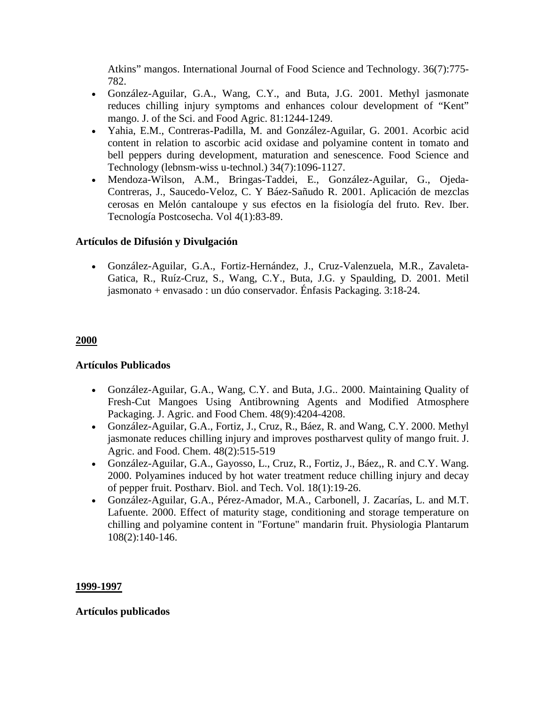Atkins" mangos. International Journal of Food Science and Technology. 36(7):775- 782.

- González-Aguilar, G.A., Wang, C.Y., and Buta, J.G. 2001. Methyl jasmonate reduces chilling injury symptoms and enhances colour development of "Kent" mango. J. of the Sci. and Food Agric. 81:1244-1249.
- Yahia, E.M., Contreras-Padilla, M. and González-Aguilar, G. 2001. Acorbic acid content in relation to ascorbic acid oxidase and polyamine content in tomato and bell peppers during development, maturation and senescence. Food Science and Technology (lebnsm-wiss u-technol.) 34(7):1096-1127.
- Mendoza-Wilson, A.M., Bringas-Taddei, E., González-Aguilar, G., Ojeda-Contreras, J., Saucedo-Veloz, C. Y Báez-Sañudo R. 2001. Aplicación de mezclas cerosas en Melón cantaloupe y sus efectos en la fisiología del fruto. Rev. Iber. Tecnología Postcosecha. Vol 4(1):83-89.

### **Artículos de Difusión y Divulgación**

• González-Aguilar, G.A., Fortiz-Hernández, J., Cruz-Valenzuela, M.R., Zavaleta-Gatica, R., Ruíz-Cruz, S., Wang, C.Y., Buta, J.G. y Spaulding, D. 2001. Metil jasmonato + envasado : un dúo conservador. Énfasis Packaging. 3:18-24.

#### **2000**

# **Artículos Publicados**

- González-Aguilar, G.A., Wang, C.Y. and Buta, J.G.. 2000. Maintaining Quality of Fresh-Cut Mangoes Using Antibrowning Agents and Modified Atmosphere Packaging. J. Agric. and Food Chem. 48(9):4204-4208.
- González-Aguilar, G.A., Fortiz, J., Cruz, R., Báez, R. and Wang, C.Y. 2000. Methyl jasmonate reduces chilling injury and improves postharvest qulity of mango fruit. J. Agric. and Food. Chem. 48(2):515-519
- González-Aguilar, G.A., Gayosso, L., Cruz, R., Fortiz, J., Báez,, R. and C.Y. Wang. 2000. Polyamines induced by hot water treatment reduce chilling injury and decay of pepper fruit. Postharv. Biol. and Tech. Vol. 18(1):19-26.
- González-Aguilar, G.A., Pérez-Amador, M.A., Carbonell, J. Zacarías, L. and M.T. Lafuente. 2000. Effect of maturity stage, conditioning and storage temperature on chilling and polyamine content in "Fortune" mandarin fruit. Physiologia Plantarum 108(2):140-146.

#### **1999-1997**

#### **Artículos publicados**